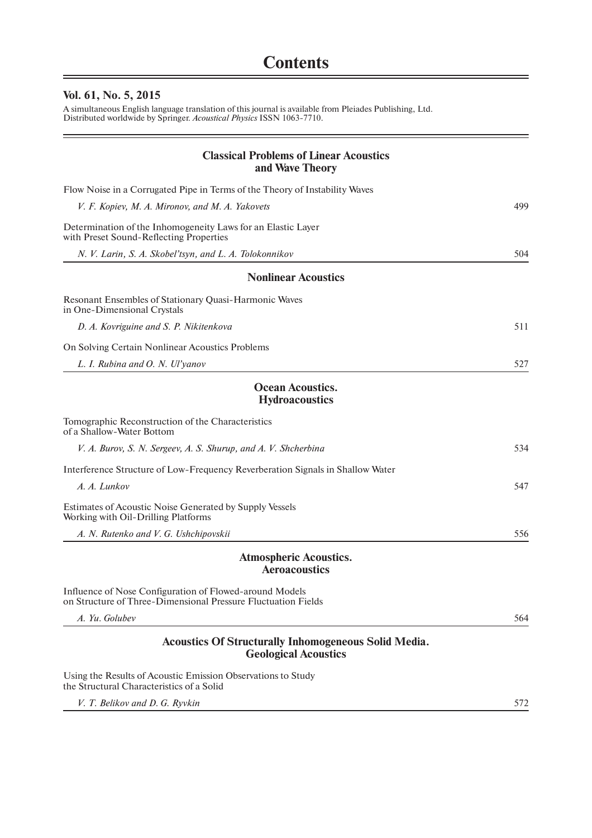## **Vol. 61, No. 5, 2015**

A simultaneous English language translation of this journal is available from Pleiades Publishing, Ltd. Distributed worldwide by Springer. *Acoustical Physics* ISSN 1063-7710.

| <b>Classical Problems of Linear Acoustics</b><br>and Wave Theory                                                         |     |
|--------------------------------------------------------------------------------------------------------------------------|-----|
| Flow Noise in a Corrugated Pipe in Terms of the Theory of Instability Waves                                              |     |
| V. F. Kopiev, M. A. Mironov, and M. A. Yakovets                                                                          | 499 |
| Determination of the Inhomogeneity Laws for an Elastic Layer<br>with Preset Sound-Reflecting Properties                  |     |
| N. V. Larin, S. A. Skobel'tsyn, and L. A. Tolokonnikov                                                                   | 504 |
| <b>Nonlinear Acoustics</b>                                                                                               |     |
| Resonant Ensembles of Stationary Quasi-Harmonic Waves<br>in One-Dimensional Crystals                                     |     |
| D. A. Kovriguine and S. P. Nikitenkova                                                                                   | 511 |
| On Solving Certain Nonlinear Acoustics Problems                                                                          |     |
| L. I. Rubina and O. N. Ul'yanov                                                                                          | 527 |
| <b>Ocean Acoustics.</b><br><b>Hydroacoustics</b>                                                                         |     |
| Tomographic Reconstruction of the Characteristics<br>of a Shallow-Water Bottom                                           |     |
| V. A. Burov, S. N. Sergeev, A. S. Shurup, and A. V. Shcherbina                                                           | 534 |
| Interference Structure of Low-Frequency Reverberation Signals in Shallow Water                                           |     |
| A. A. Lunkov                                                                                                             | 547 |
| Estimates of Acoustic Noise Generated by Supply Vessels<br>Working with Oil-Drilling Platforms                           |     |
| A. N. Rutenko and V. G. Ushchipovskii                                                                                    | 556 |
| <b>Atmospheric Acoustics.</b><br><b>Aeroacoustics</b>                                                                    |     |
| Influence of Nose Configuration of Flowed-around Models<br>on Structure of Three-Dimensional Pressure Fluctuation Fields |     |
| A. Yu. Golubev                                                                                                           | 564 |
| <b>Acoustics Of Structurally Inhomogeneous Solid Media.</b><br><b>Geological Acoustics</b>                               |     |
| Using the Results of Acoustic Emission Observations to Study<br>the Structural Characteristics of a Solid                |     |
| V. T. Belikov and D. G. Ryvkin                                                                                           | 572 |